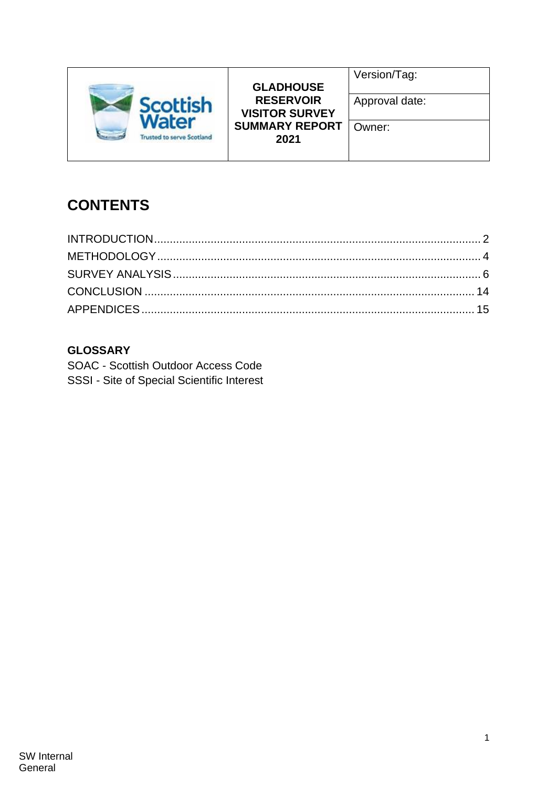

**GLADHOUSE RESERVOIR VISITOR SURVEY SUMMARY REPORT 2021**

Version/Tag:

### Owner:

# **CONTENTS**

# **GLOSSARY**

SOAC - Scottish Outdoor Access Code SSSI - Site of Special Scientific Interest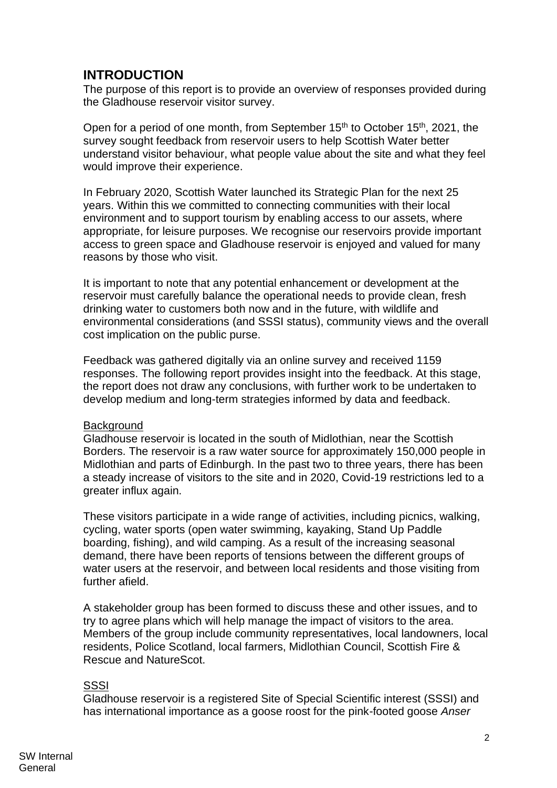## <span id="page-1-0"></span>**INTRODUCTION**

The purpose of this report is to provide an overview of responses provided during the Gladhouse reservoir visitor survey.

Open for a period of one month, from September 15<sup>th</sup> to October 15<sup>th</sup>, 2021, the survey sought feedback from reservoir users to help Scottish Water better understand visitor behaviour, what people value about the site and what they feel would improve their experience.

In February 2020, Scottish Water launched its Strategic Plan for the next 25 years. Within this we committed to connecting communities with their local environment and to support tourism by enabling access to our assets, where appropriate, for leisure purposes. We recognise our reservoirs provide important access to green space and Gladhouse reservoir is enjoyed and valued for many reasons by those who visit.

It is important to note that any potential enhancement or development at the reservoir must carefully balance the operational needs to provide clean, fresh drinking water to customers both now and in the future, with wildlife and environmental considerations (and SSSI status), community views and the overall cost implication on the public purse.

Feedback was gathered digitally via an online survey and received 1159 responses. The following report provides insight into the feedback. At this stage, the report does not draw any conclusions, with further work to be undertaken to develop medium and long-term strategies informed by data and feedback.

#### **Background**

Gladhouse reservoir is located in the south of Midlothian, near the Scottish Borders. The reservoir is a raw water source for approximately 150,000 people in Midlothian and parts of Edinburgh. In the past two to three years, there has been a steady increase of visitors to the site and in 2020, Covid-19 restrictions led to a greater influx again.

These visitors participate in a wide range of activities, including picnics, walking, cycling, water sports (open water swimming, kayaking, Stand Up Paddle boarding, fishing), and wild camping. As a result of the increasing seasonal demand, there have been reports of tensions between the different groups of water users at the reservoir, and between local residents and those visiting from further afield.

A stakeholder group has been formed to discuss these and other issues, and to try to agree plans which will help manage the impact of visitors to the area. Members of the group include community representatives, local landowners, local residents, Police Scotland, local farmers, Midlothian Council, Scottish Fire & Rescue and NatureScot.

#### SSSI

Gladhouse reservoir is a registered Site of Special Scientific interest (SSSI) and has international importance as a goose roost for the pink-footed goose *Anser*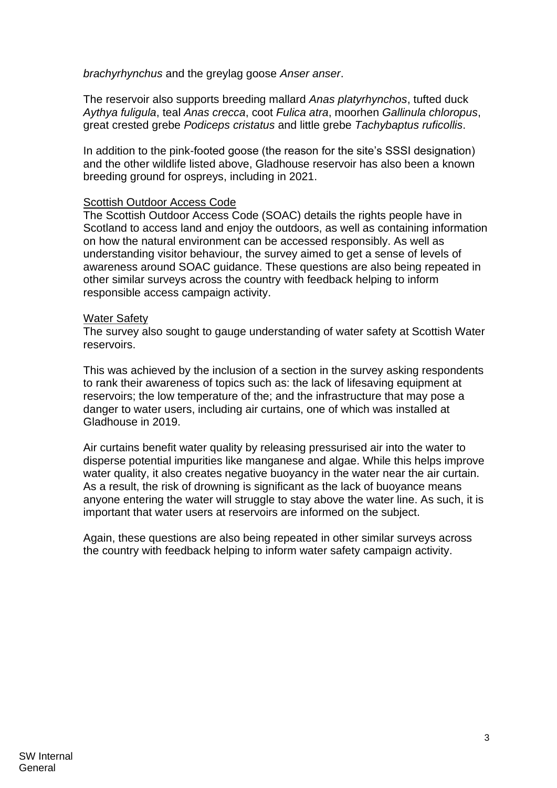*brachyrhynchus* and the greylag goose *Anser anser*.

The reservoir also supports breeding mallard *Anas platyrhynchos*, tufted duck *Aythya fuligula*, teal *Anas crecca*, coot *Fulica atra*, moorhen *Gallinula chloropus*, great crested grebe *Podiceps cristatus* and little grebe *Tachybaptus ruficollis*.

In addition to the pink-footed goose (the reason for the site's SSSI designation) and the other wildlife listed above, Gladhouse reservoir has also been a known breeding ground for ospreys, including in 2021.

#### Scottish Outdoor Access Code

The Scottish Outdoor Access Code (SOAC) details the rights people have in Scotland to access land and enjoy the outdoors, as well as containing information on how the natural environment can be accessed responsibly. As well as understanding visitor behaviour, the survey aimed to get a sense of levels of awareness around SOAC guidance. These questions are also being repeated in other similar surveys across the country with feedback helping to inform responsible access campaign activity.

#### Water Safety

The survey also sought to gauge understanding of water safety at Scottish Water reservoirs.

This was achieved by the inclusion of a section in the survey asking respondents to rank their awareness of topics such as: the lack of lifesaving equipment at reservoirs; the low temperature of the; and the infrastructure that may pose a danger to water users, including air curtains, one of which was installed at Gladhouse in 2019.

Air curtains benefit water quality by releasing pressurised air into the water to disperse potential impurities like manganese and algae. While this helps improve water quality, it also creates negative buoyancy in the water near the air curtain. As a result, the risk of drowning is significant as the lack of buoyance means anyone entering the water will struggle to stay above the water line. As such, it is important that water users at reservoirs are informed on the subject.

Again, these questions are also being repeated in other similar surveys across the country with feedback helping to inform water safety campaign activity.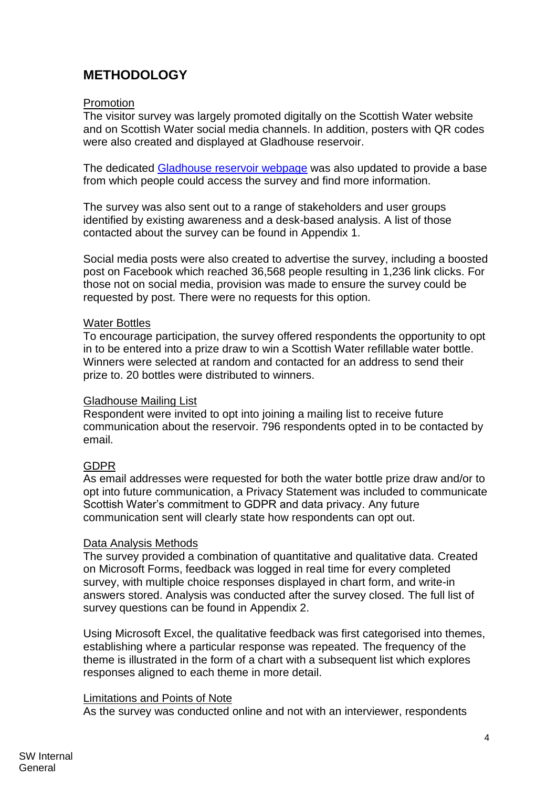# <span id="page-3-0"></span>**METHODOLOGY**

#### Promotion

The visitor survey was largely promoted digitally on the Scottish Water website and on Scottish Water social media channels. In addition, posters with QR codes were also created and displayed at Gladhouse reservoir.

The dedicated [Gladhouse reservoir webpage](https://www.scottishwater.co.uk/In-Your-Area/Investments-in-Your-Area/Gladhouse-Reservoir) was also updated to provide a base from which people could access the survey and find more information.

The survey was also sent out to a range of stakeholders and user groups identified by existing awareness and a desk-based analysis. A list of those contacted about the survey can be found in Appendix 1.

Social media posts were also created to advertise the survey, including a boosted post on Facebook which reached 36,568 people resulting in 1,236 link clicks. For those not on social media, provision was made to ensure the survey could be requested by post. There were no requests for this option.

#### Water Bottles

To encourage participation, the survey offered respondents the opportunity to opt in to be entered into a prize draw to win a Scottish Water refillable water bottle. Winners were selected at random and contacted for an address to send their prize to. 20 bottles were distributed to winners.

#### Gladhouse Mailing List

Respondent were invited to opt into joining a mailing list to receive future communication about the reservoir. 796 respondents opted in to be contacted by email.

#### GDPR

As email addresses were requested for both the water bottle prize draw and/or to opt into future communication, a Privacy Statement was included to communicate Scottish Water's commitment to GDPR and data privacy. Any future communication sent will clearly state how respondents can opt out.

#### Data Analysis Methods

The survey provided a combination of quantitative and qualitative data. Created on Microsoft Forms, feedback was logged in real time for every completed survey, with multiple choice responses displayed in chart form, and write-in answers stored. Analysis was conducted after the survey closed. The full list of survey questions can be found in Appendix 2.

Using Microsoft Excel, the qualitative feedback was first categorised into themes, establishing where a particular response was repeated. The frequency of the theme is illustrated in the form of a chart with a subsequent list which explores responses aligned to each theme in more detail.

#### Limitations and Points of Note

As the survey was conducted online and not with an interviewer, respondents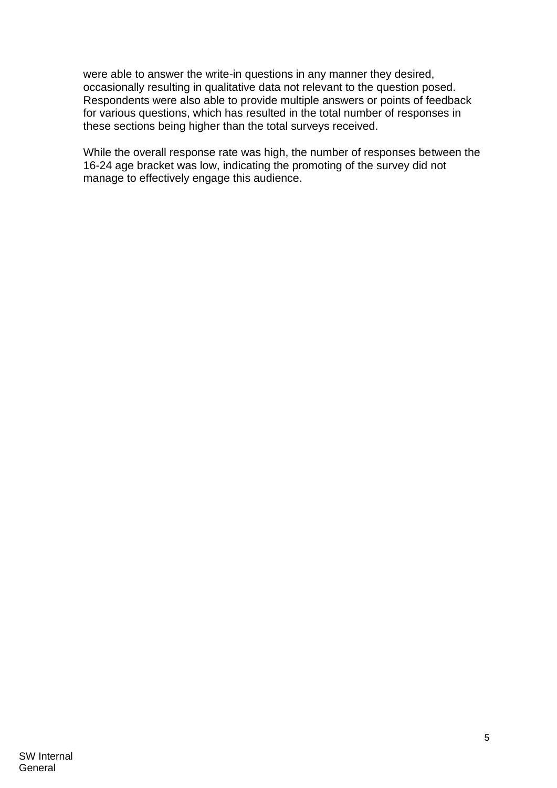were able to answer the write-in questions in any manner they desired, occasionally resulting in qualitative data not relevant to the question posed. Respondents were also able to provide multiple answers or points of feedback for various questions, which has resulted in the total number of responses in these sections being higher than the total surveys received.

While the overall response rate was high, the number of responses between the 16-24 age bracket was low, indicating the promoting of the survey did not manage to effectively engage this audience.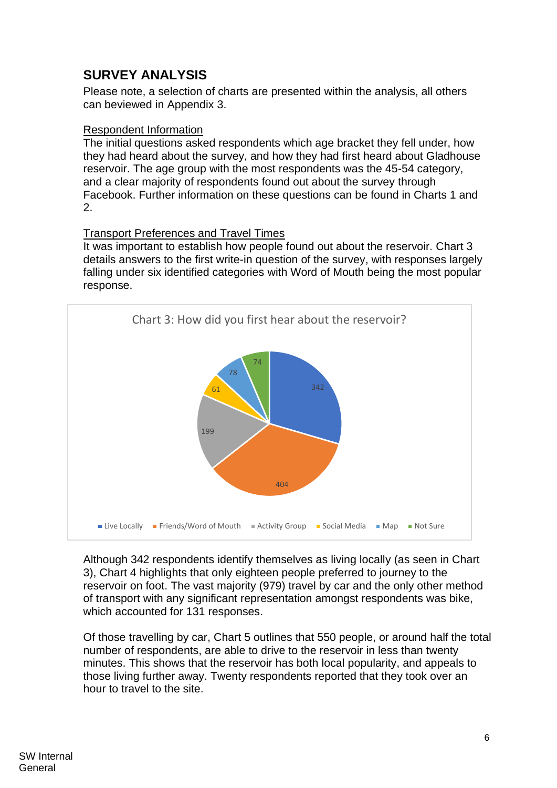# <span id="page-5-0"></span>**SURVEY ANALYSIS**

Please note, a selection of charts are presented within the analysis, all others can beviewed in Appendix 3.

#### Respondent Information

The initial questions asked respondents which age bracket they fell under, how they had heard about the survey, and how they had first heard about Gladhouse reservoir. The age group with the most respondents was the 45-54 category, and a clear majority of respondents found out about the survey through Facebook. Further information on these questions can be found in Charts 1 and 2.

#### Transport Preferences and Travel Times

It was important to establish how people found out about the reservoir. Chart 3 details answers to the first write-in question of the survey, with responses largely falling under six identified categories with Word of Mouth being the most popular response.



Although 342 respondents identify themselves as living locally (as seen in Chart 3), Chart 4 highlights that only eighteen people preferred to journey to the reservoir on foot. The vast majority (979) travel by car and the only other method of transport with any significant representation amongst respondents was bike, which accounted for 131 responses.

Of those travelling by car, Chart 5 outlines that 550 people, or around half the total number of respondents, are able to drive to the reservoir in less than twenty minutes. This shows that the reservoir has both local popularity, and appeals to those living further away. Twenty respondents reported that they took over an hour to travel to the site.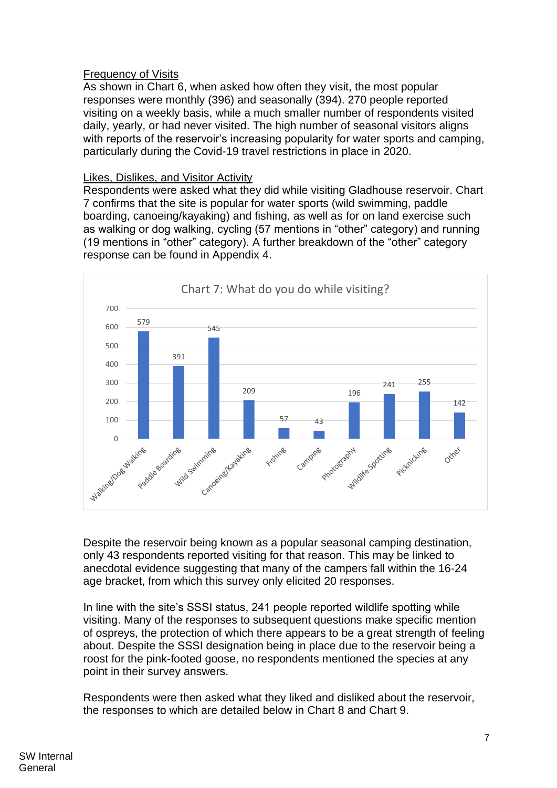#### Frequency of Visits

As shown in Chart 6, when asked how often they visit, the most popular responses were monthly (396) and seasonally (394). 270 people reported visiting on a weekly basis, while a much smaller number of respondents visited daily, yearly, or had never visited. The high number of seasonal visitors aligns with reports of the reservoir's increasing popularity for water sports and camping, particularly during the Covid-19 travel restrictions in place in 2020.

#### Likes, Dislikes, and Visitor Activity

Respondents were asked what they did while visiting Gladhouse reservoir. Chart 7 confirms that the site is popular for water sports (wild swimming, paddle boarding, canoeing/kayaking) and fishing, as well as for on land exercise such as walking or dog walking, cycling (57 mentions in "other" category) and running (19 mentions in "other" category). A further breakdown of the "other" category response can be found in Appendix 4.



Despite the reservoir being known as a popular seasonal camping destination, only 43 respondents reported visiting for that reason. This may be linked to anecdotal evidence suggesting that many of the campers fall within the 16-24 age bracket, from which this survey only elicited 20 responses.

In line with the site's SSSI status, 241 people reported wildlife spotting while visiting. Many of the responses to subsequent questions make specific mention of ospreys, the protection of which there appears to be a great strength of feeling about. Despite the SSSI designation being in place due to the reservoir being a roost for the pink-footed goose, no respondents mentioned the species at any point in their survey answers.

Respondents were then asked what they liked and disliked about the reservoir, the responses to which are detailed below in Chart 8 and Chart 9.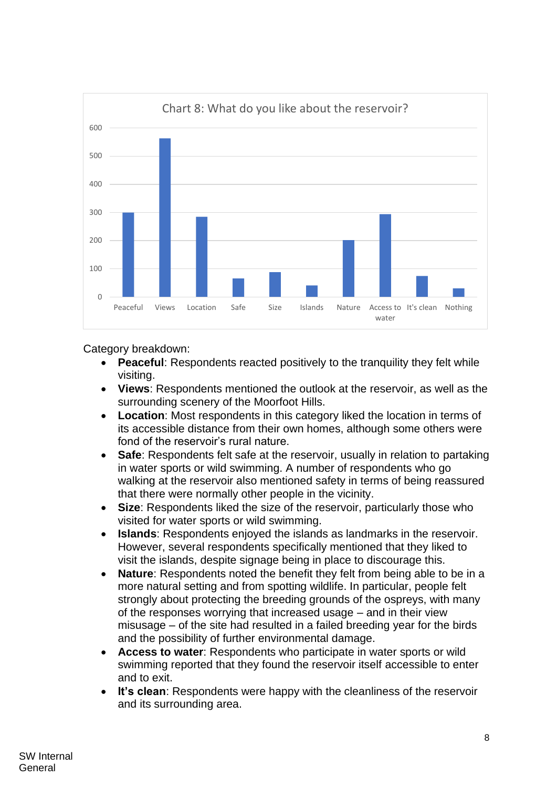

Category breakdown:

- **Peaceful**: Respondents reacted positively to the tranquility they felt while visiting.
- **Views**: Respondents mentioned the outlook at the reservoir, as well as the surrounding scenery of the Moorfoot Hills.
- **Location**: Most respondents in this category liked the location in terms of its accessible distance from their own homes, although some others were fond of the reservoir's rural nature.
- **Safe**: Respondents felt safe at the reservoir, usually in relation to partaking in water sports or wild swimming. A number of respondents who go walking at the reservoir also mentioned safety in terms of being reassured that there were normally other people in the vicinity.
- **Size**: Respondents liked the size of the reservoir, particularly those who visited for water sports or wild swimming.
- **Islands**: Respondents enjoyed the islands as landmarks in the reservoir. However, several respondents specifically mentioned that they liked to visit the islands, despite signage being in place to discourage this.
- **Nature:** Respondents noted the benefit they felt from being able to be in a more natural setting and from spotting wildlife. In particular, people felt strongly about protecting the breeding grounds of the ospreys, with many of the responses worrying that increased usage – and in their view misusage – of the site had resulted in a failed breeding year for the birds and the possibility of further environmental damage.
- **Access to water**: Respondents who participate in water sports or wild swimming reported that they found the reservoir itself accessible to enter and to exit.
- It's clean: Respondents were happy with the cleanliness of the reservoir and its surrounding area.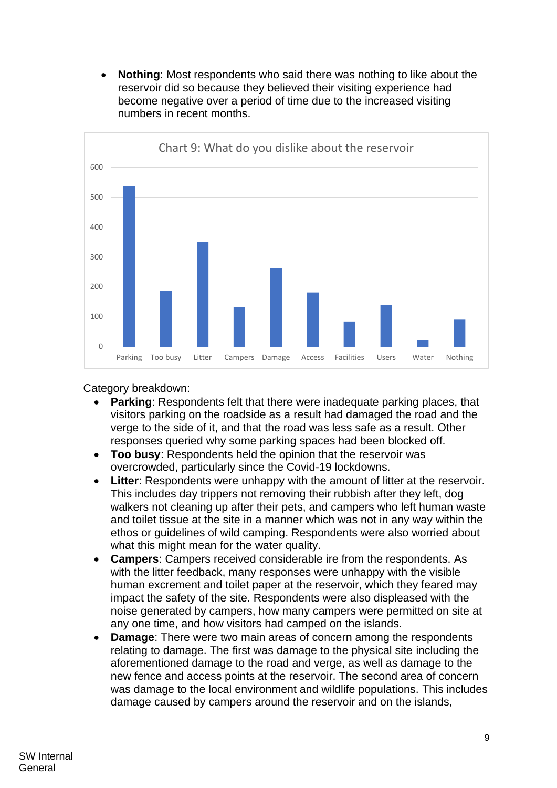• **Nothing**: Most respondents who said there was nothing to like about the reservoir did so because they believed their visiting experience had become negative over a period of time due to the increased visiting numbers in recent months.



### Category breakdown:

- **Parking:** Respondents felt that there were inadequate parking places, that visitors parking on the roadside as a result had damaged the road and the verge to the side of it, and that the road was less safe as a result. Other responses queried why some parking spaces had been blocked off.
- **Too busy**: Respondents held the opinion that the reservoir was overcrowded, particularly since the Covid-19 lockdowns.
- **Litter**: Respondents were unhappy with the amount of litter at the reservoir. This includes day trippers not removing their rubbish after they left, dog walkers not cleaning up after their pets, and campers who left human waste and toilet tissue at the site in a manner which was not in any way within the ethos or guidelines of wild camping. Respondents were also worried about what this might mean for the water quality.
- **Campers**: Campers received considerable ire from the respondents. As with the litter feedback, many responses were unhappy with the visible human excrement and toilet paper at the reservoir, which they feared may impact the safety of the site. Respondents were also displeased with the noise generated by campers, how many campers were permitted on site at any one time, and how visitors had camped on the islands.
- **Damage**: There were two main areas of concern among the respondents relating to damage. The first was damage to the physical site including the aforementioned damage to the road and verge, as well as damage to the new fence and access points at the reservoir. The second area of concern was damage to the local environment and wildlife populations. This includes damage caused by campers around the reservoir and on the islands,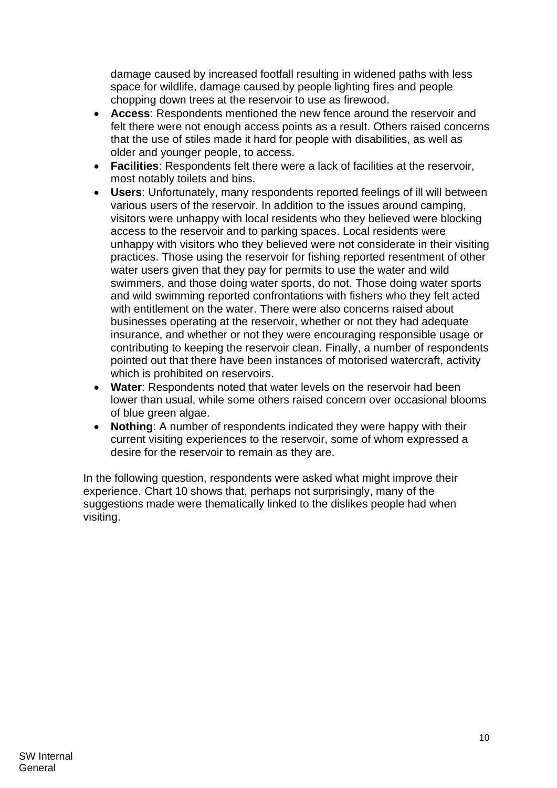damage caused by increased footfall resulting in widened paths with less space for wildlife, damage caused by people lighting fires and people chopping down trees at the reservoir to use as firewood.

- **Access**: Respondents mentioned the new fence around the reservoir and felt there were not enough access points as a result. Others raised concerns that the use of stiles made it hard for people with disabilities, as well as older and younger people, to access.
- **Facilities**: Respondents felt there were a lack of facilities at the reservoir, most notably toilets and bins.
- **Users**: Unfortunately, many respondents reported feelings of ill will between various users of the reservoir. In addition to the issues around camping, visitors were unhappy with local residents who they believed were blocking access to the reservoir and to parking spaces. Local residents were unhappy with visitors who they believed were not considerate in their visiting practices. Those using the reservoir for fishing reported resentment of other water users given that they pay for permits to use the water and wild swimmers, and those doing water sports, do not. Those doing water sports and wild swimming reported confrontations with fishers who they felt acted with entitlement on the water. There were also concerns raised about businesses operating at the reservoir, whether or not they had adequate insurance, and whether or not they were encouraging responsible usage or contributing to keeping the reservoir clean. Finally, a number of respondents pointed out that there have been instances of motorised watercraft, activity which is prohibited on reservoirs.
- **Water**: Respondents noted that water levels on the reservoir had been lower than usual, while some others raised concern over occasional blooms of blue green algae.
- **Nothing:** A number of respondents indicated they were happy with their current visiting experiences to the reservoir, some of whom expressed a desire for the reservoir to remain as they are.

In the following question, respondents were asked what might improve their experience. Chart 10 shows that, perhaps not surprisingly, many of the suggestions made were thematically linked to the dislikes people had when visiting.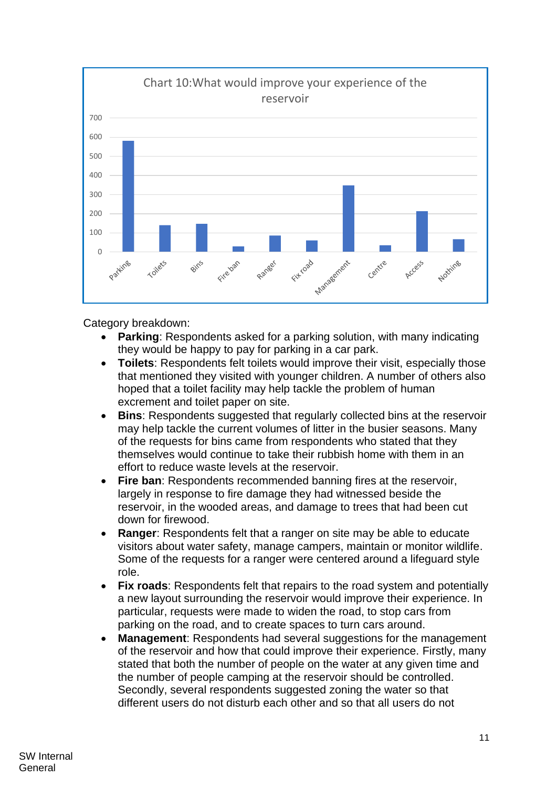

Category breakdown:

- **Parking**: Respondents asked for a parking solution, with many indicating they would be happy to pay for parking in a car park.
- **Toilets**: Respondents felt toilets would improve their visit, especially those that mentioned they visited with younger children. A number of others also hoped that a toilet facility may help tackle the problem of human excrement and toilet paper on site.
- **Bins:** Respondents suggested that regularly collected bins at the reservoir may help tackle the current volumes of litter in the busier seasons. Many of the requests for bins came from respondents who stated that they themselves would continue to take their rubbish home with them in an effort to reduce waste levels at the reservoir.
- **Fire ban:** Respondents recommended banning fires at the reservoir, largely in response to fire damage they had witnessed beside the reservoir, in the wooded areas, and damage to trees that had been cut down for firewood.
- **Ranger:** Respondents felt that a ranger on site may be able to educate visitors about water safety, manage campers, maintain or monitor wildlife. Some of the requests for a ranger were centered around a lifeguard style role.
- **Fix roads:** Respondents felt that repairs to the road system and potentially a new layout surrounding the reservoir would improve their experience. In particular, requests were made to widen the road, to stop cars from parking on the road, and to create spaces to turn cars around.
- **Management**: Respondents had several suggestions for the management of the reservoir and how that could improve their experience. Firstly, many stated that both the number of people on the water at any given time and the number of people camping at the reservoir should be controlled. Secondly, several respondents suggested zoning the water so that different users do not disturb each other and so that all users do not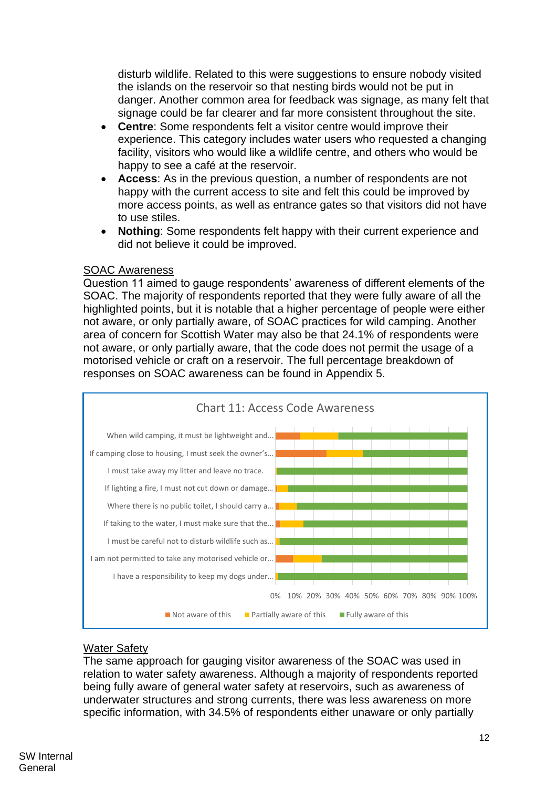disturb wildlife. Related to this were suggestions to ensure nobody visited the islands on the reservoir so that nesting birds would not be put in danger. Another common area for feedback was signage, as many felt that signage could be far clearer and far more consistent throughout the site.

- **Centre**: Some respondents felt a visitor centre would improve their experience. This category includes water users who requested a changing facility, visitors who would like a wildlife centre, and others who would be happy to see a café at the reservoir.
- **Access**: As in the previous question, a number of respondents are not happy with the current access to site and felt this could be improved by more access points, as well as entrance gates so that visitors did not have to use stiles.
- **Nothing**: Some respondents felt happy with their current experience and did not believe it could be improved.

#### SOAC Awareness

Question 11 aimed to gauge respondents' awareness of different elements of the SOAC. The majority of respondents reported that they were fully aware of all the highlighted points, but it is notable that a higher percentage of people were either not aware, or only partially aware, of SOAC practices for wild camping. Another area of concern for Scottish Water may also be that 24.1% of respondents were not aware, or only partially aware, that the code does not permit the usage of a motorised vehicle or craft on a reservoir. The full percentage breakdown of responses on SOAC awareness can be found in Appendix 5.



#### Water Safety

The same approach for gauging visitor awareness of the SOAC was used in relation to water safety awareness. Although a majority of respondents reported being fully aware of general water safety at reservoirs, such as awareness of underwater structures and strong currents, there was less awareness on more specific information, with 34.5% of respondents either unaware or only partially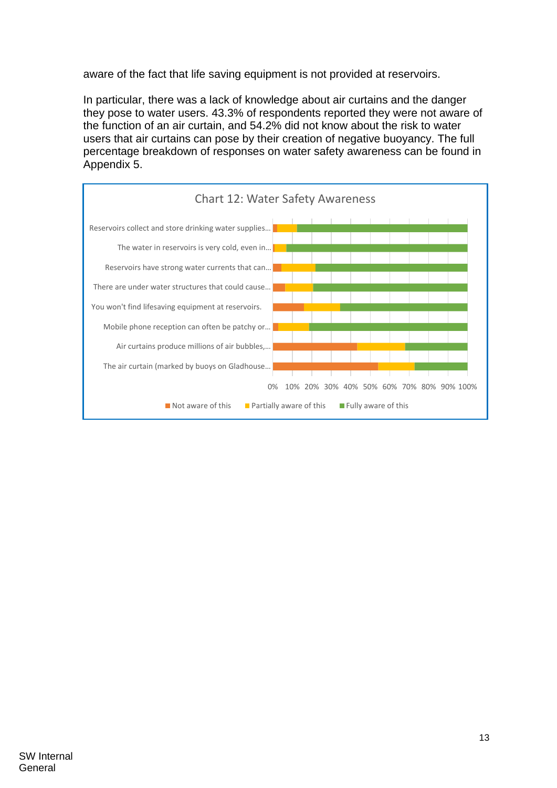aware of the fact that life saving equipment is not provided at reservoirs.

In particular, there was a lack of knowledge about air curtains and the danger they pose to water users. 43.3% of respondents reported they were not aware of the function of an air curtain, and 54.2% did not know about the risk to water users that air curtains can pose by their creation of negative buoyancy. The full percentage breakdown of responses on water safety awareness can be found in Appendix 5.

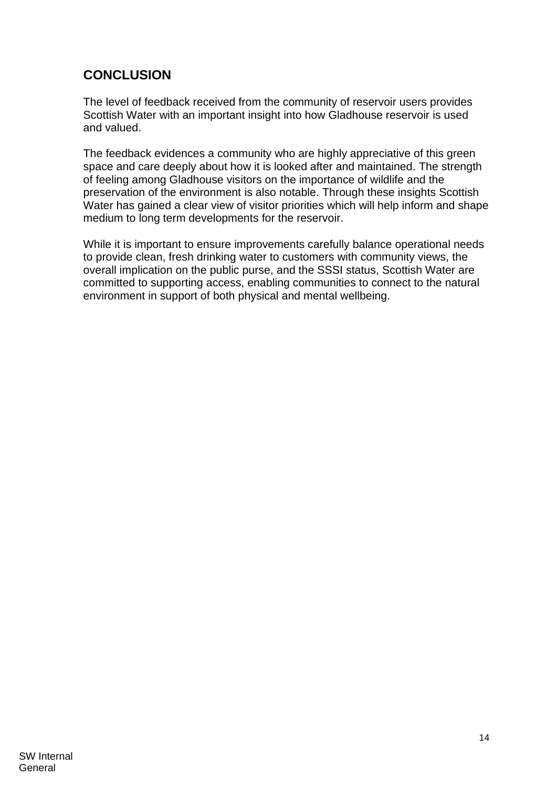# <span id="page-13-0"></span>**CONCLUSION**

The level of feedback received from the community of reservoir users provides Scottish Water with an important insight into how Gladhouse reservoir is used and valued.

The feedback evidences a community who are highly appreciative of this green space and care deeply about how it is looked after and maintained. The strength of feeling among Gladhouse visitors on the importance of wildlife and the preservation of the environment is also notable. Through these insights Scottish Water has gained a clear view of visitor priorities which will help inform and shape medium to long term developments for the reservoir.

While it is important to ensure improvements carefully balance operational needs to provide clean, fresh drinking water to customers with community views, the overall implication on the public purse, and the SSSI status, Scottish Water are committed to supporting access, enabling communities to connect to the natural environment in support of both physical and mental wellbeing.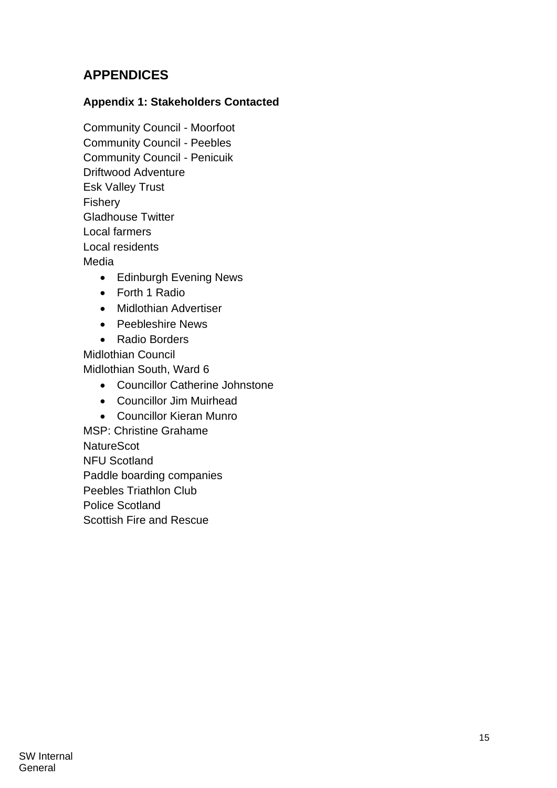# <span id="page-14-0"></span>**APPENDICES**

### **Appendix 1: Stakeholders Contacted**

Community Council - Moorfoot Community Council - Peebles Community Council - Penicuik Driftwood Adventure Esk Valley Trust Fishery Gladhouse Twitter Local farmers Local residents Media

- Edinburgh Evening News
- Forth 1 Radio
- Midlothian Advertiser
- Peebleshire News
- Radio Borders

Midlothian Council Midlothian South, Ward 6

- Councillor Catherine Johnstone
- Councillor Jim Muirhead
- Councillor Kieran Munro

MSP: Christine Grahame **NatureScot** NFU Scotland Paddle boarding companies Peebles Triathlon Club Police Scotland Scottish Fire and Rescue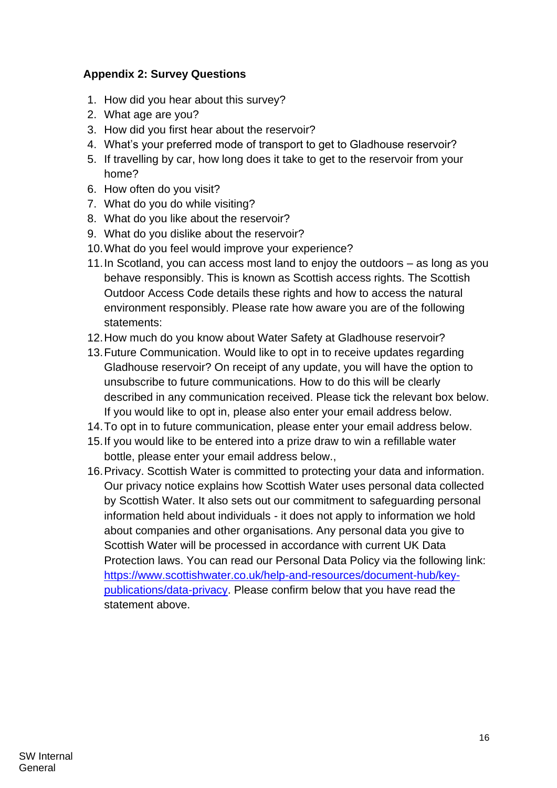### **Appendix 2: Survey Questions**

- 1. How did you hear about this survey?
- 2. What age are you?
- 3. How did you first hear about the reservoir?
- 4. What's your preferred mode of transport to get to Gladhouse reservoir?
- 5. If travelling by car, how long does it take to get to the reservoir from your home?
- 6. How often do you visit?
- 7. What do you do while visiting?
- 8. What do you like about the reservoir?
- 9. What do you dislike about the reservoir?
- 10.What do you feel would improve your experience?
- 11.In Scotland, you can access most land to enjoy the outdoors as long as you behave responsibly. This is known as Scottish access rights. The Scottish Outdoor Access Code details these rights and how to access the natural environment responsibly. Please rate how aware you are of the following statements:
- 12.How much do you know about Water Safety at Gladhouse reservoir?
- 13.Future Communication. Would like to opt in to receive updates regarding Gladhouse reservoir? On receipt of any update, you will have the option to unsubscribe to future communications. How to do this will be clearly described in any communication received. Please tick the relevant box below. If you would like to opt in, please also enter your email address below.
- 14.To opt in to future communication, please enter your email address below.
- 15.If you would like to be entered into a prize draw to win a refillable water bottle, please enter your email address below.,
- 16.Privacy. Scottish Water is committed to protecting your data and information. Our privacy notice explains how Scottish Water uses personal data collected by Scottish Water. It also sets out our commitment to safeguarding personal information held about individuals - it does not apply to information we hold about companies and other organisations. Any personal data you give to Scottish Water will be processed in accordance with current UK Data Protection laws. You can read our Personal Data Policy via the following link: [https://www.scottishwater.co.uk/help-and-resources/document-hub/key](https://www.scottishwater.co.uk/help-and-resources/document-hub/key-publications/data-privacy)[publications/data-privacy.](https://www.scottishwater.co.uk/help-and-resources/document-hub/key-publications/data-privacy) Please confirm below that you have read the statement above.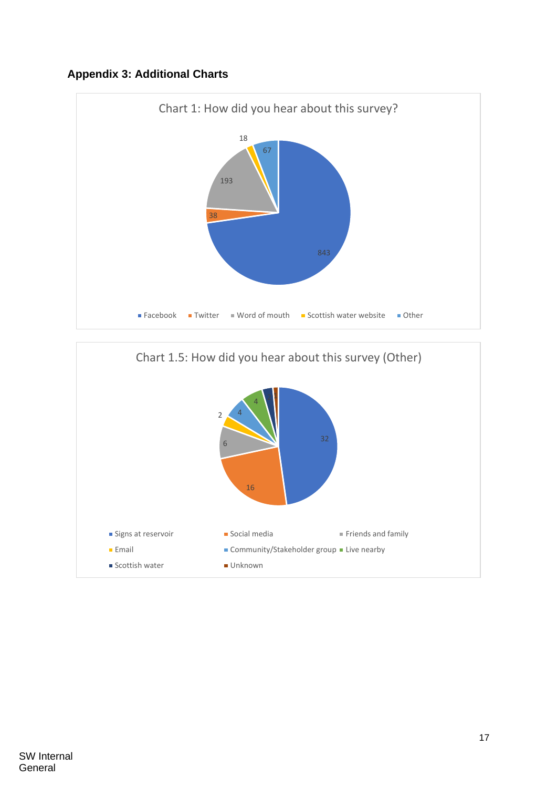### **Appendix 3: Additional Charts**



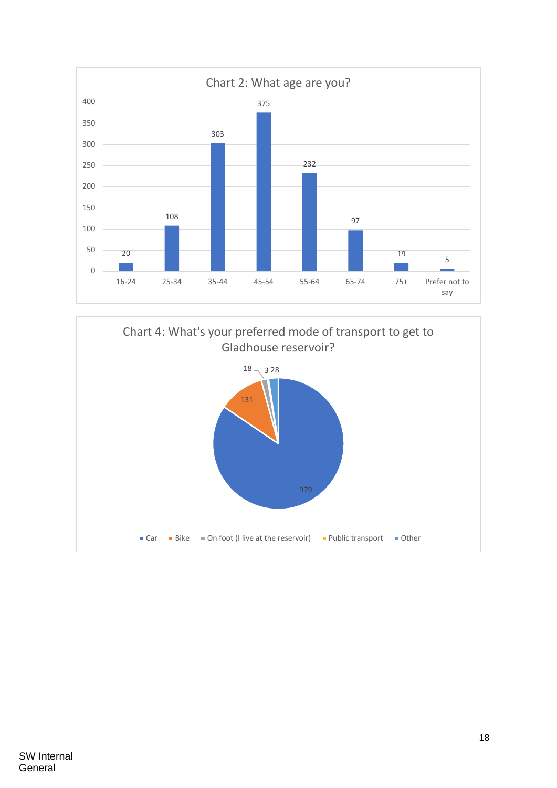

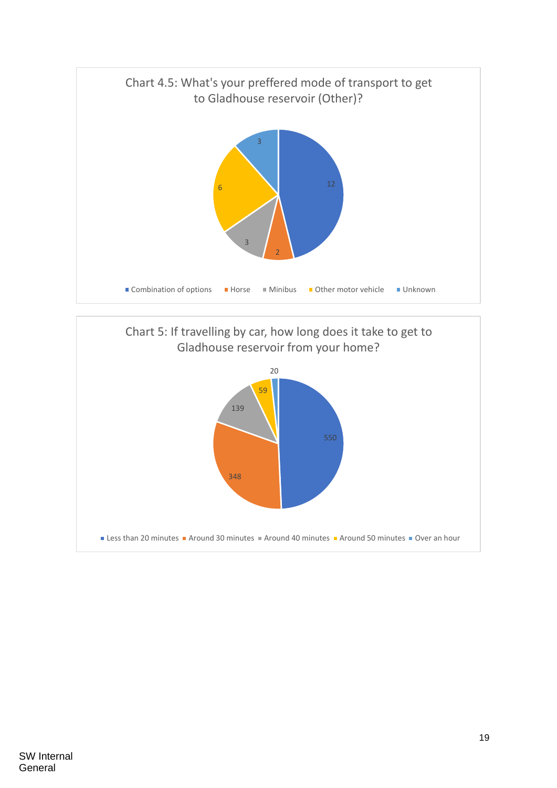

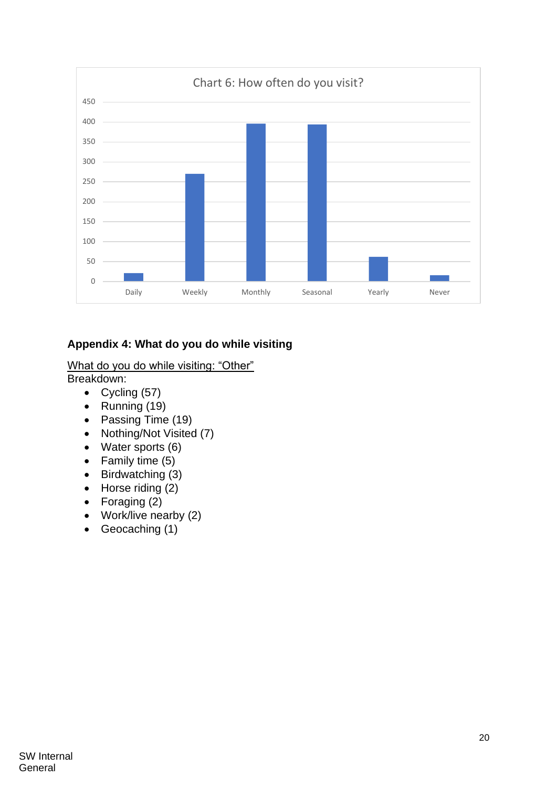

# **Appendix 4: What do you do while visiting**

#### What do you do while visiting: "Other" Breakdown:

- Cycling (57)
- Running (19)
- Passing Time (19)
- Nothing/Not Visited (7)
- Water sports (6)
- Family time (5)
- Birdwatching (3)
- $\bullet$  Horse riding  $(2)$
- Foraging (2)
- Work/live nearby (2)
- Geocaching (1)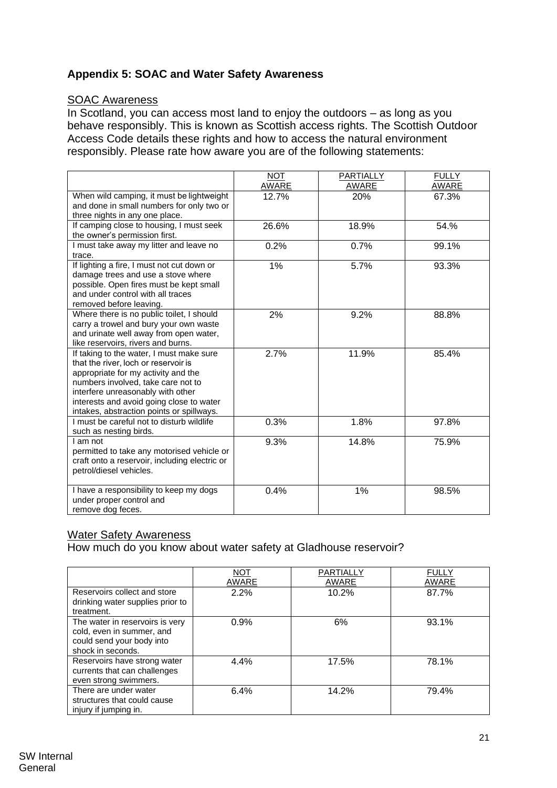### **Appendix 5: SOAC and Water Safety Awareness**

#### SOAC Awareness

In Scotland, you can access most land to enjoy the outdoors – as long as you behave responsibly. This is known as Scottish access rights. The Scottish Outdoor Access Code details these rights and how to access the natural environment responsibly. Please rate how aware you are of the following statements:

|                                                                                                                                                                                                                                                                                             | <b>NOT</b><br>AWARE | <b>PARTIALLY</b><br>AWARE | <b>FULLY</b><br><b>AWARE</b> |
|---------------------------------------------------------------------------------------------------------------------------------------------------------------------------------------------------------------------------------------------------------------------------------------------|---------------------|---------------------------|------------------------------|
| When wild camping, it must be lightweight<br>and done in small numbers for only two or<br>three nights in any one place.                                                                                                                                                                    | 12.7%               | 20%                       | 67.3%                        |
| If camping close to housing, I must seek<br>the owner's permission first.                                                                                                                                                                                                                   | 26.6%               | 18.9%                     | 54.%                         |
| I must take away my litter and leave no<br>trace.                                                                                                                                                                                                                                           | 0.2%                | 0.7%                      | 99.1%                        |
| If lighting a fire, I must not cut down or<br>damage trees and use a stove where<br>possible. Open fires must be kept small<br>and under control with all traces<br>removed before leaving.                                                                                                 | 1%                  | 5.7%                      | 93.3%                        |
| Where there is no public toilet, I should<br>carry a trowel and bury your own waste<br>and urinate well away from open water,<br>like reservoirs, rivers and burns.                                                                                                                         | 2%                  | 9.2%                      | 88.8%                        |
| If taking to the water, I must make sure<br>that the river, loch or reservoir is<br>appropriate for my activity and the<br>numbers involved, take care not to<br>interfere unreasonably with other<br>interests and avoid going close to water<br>intakes, abstraction points or spillways. | 2.7%                | 11.9%                     | 85.4%                        |
| I must be careful not to disturb wildlife<br>such as nesting birds.                                                                                                                                                                                                                         | 0.3%                | 1.8%                      | 97.8%                        |
| I am not<br>permitted to take any motorised vehicle or<br>craft onto a reservoir, including electric or<br>petrol/diesel vehicles.                                                                                                                                                          | 9.3%                | 14.8%                     | 75.9%                        |
| I have a responsibility to keep my dogs<br>under proper control and<br>remove dog feces.                                                                                                                                                                                                    | 0.4%                | 1%                        | 98.5%                        |

### Water Safety Awareness

How much do you know about water safety at Gladhouse reservoir?

|                                                                                                                | <b>NOT</b><br>AWARE | PARTIALLY<br>AWARE | <b>FULLY</b><br>AWARE |
|----------------------------------------------------------------------------------------------------------------|---------------------|--------------------|-----------------------|
| Reservoirs collect and store<br>drinking water supplies prior to<br>treatment.                                 | 2.2%                | 10.2%              | 87.7%                 |
| The water in reservoirs is very<br>cold, even in summer, and<br>could send your body into<br>shock in seconds. | 0.9%                | 6%                 | 93.1%                 |
| Reservoirs have strong water<br>currents that can challenges<br>even strong swimmers.                          | 4.4%                | 17.5%              | 78.1%                 |
| There are under water<br>structures that could cause<br>injury if jumping in.                                  | 6.4%                | 14.2%              | 79.4%                 |